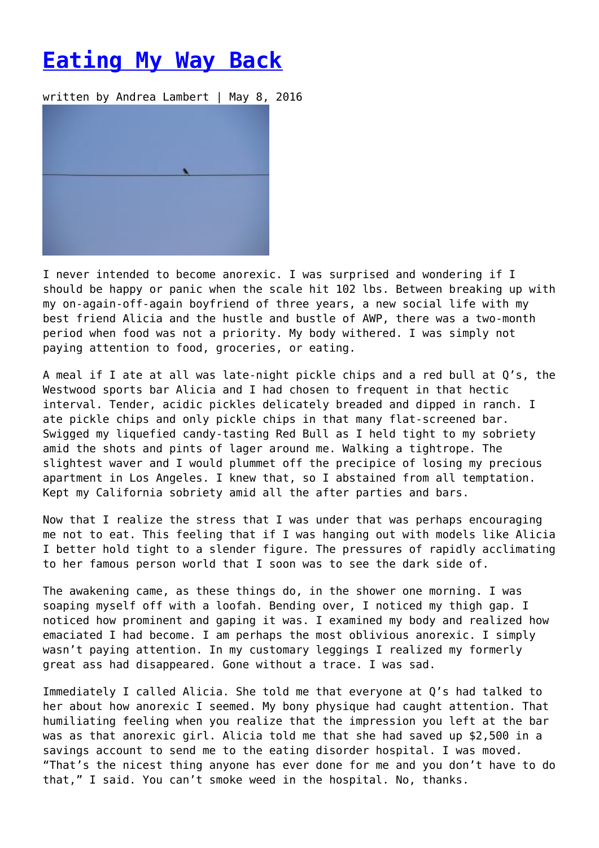## **[Eating My Way Back](https://entropymag.org/eating-my-way-back/)**

written by Andrea Lambert | May 8, 2016

I never intended to become anorexic. I was surprised and wondering if I should be happy or panic when the scale hit 102 lbs. Between breaking up with my on-again-off-again boyfriend of three years, a new social life with my best friend Alicia and the hustle and bustle of AWP, there was a two-month period when food was not a priority. My body withered. I was simply not paying attention to food, groceries, or eating.

A meal if I ate at all was late-night pickle chips and a red bull at Q's, the Westwood sports bar Alicia and I had chosen to frequent in that hectic interval. Tender, acidic pickles delicately breaded and dipped in ranch. I ate pickle chips and only pickle chips in that many flat-screened bar. Swigged my liquefied candy-tasting Red Bull as I held tight to my sobriety amid the shots and pints of lager around me. Walking a tightrope. The slightest waver and I would plummet off the precipice of losing my precious apartment in Los Angeles. I knew that, so I abstained from all temptation. Kept my California sobriety amid all the after parties and bars.

Now that I realize the stress that I was under that was perhaps encouraging me not to eat. This feeling that if I was hanging out with models like Alicia I better hold tight to a slender figure. The pressures of rapidly acclimating to her famous person world that I soon was to see the dark side of.

The awakening came, as these things do, in the shower one morning. I was soaping myself off with a loofah. Bending over, I noticed my thigh gap. I noticed how prominent and gaping it was. I examined my body and realized how emaciated I had become. I am perhaps the most oblivious anorexic. I simply wasn't paying attention. In my customary leggings I realized my formerly great ass had disappeared. Gone without a trace. I was sad.

Immediately I called Alicia. She told me that everyone at Q's had talked to her about how anorexic I seemed. My bony physique had caught attention. That humiliating feeling when you realize that the impression you left at the bar was as that anorexic girl. Alicia told me that she had saved up \$2,500 in a savings account to send me to the eating disorder hospital. I was moved. "That's the nicest thing anyone has ever done for me and you don't have to do that," I said. You can't smoke weed in the hospital. No, thanks.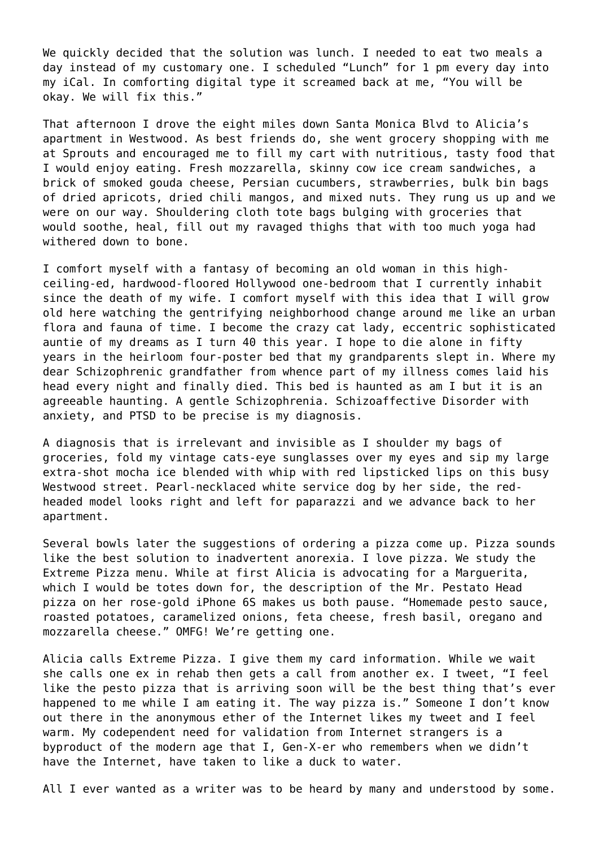We quickly decided that the solution was lunch. I needed to eat two meals a day instead of my customary one. I scheduled "Lunch" for 1 pm every day into my iCal. In comforting digital type it screamed back at me, "You will be okay. We will fix this."

That afternoon I drove the eight miles down Santa Monica Blvd to Alicia's apartment in Westwood. As best friends do, she went grocery shopping with me at Sprouts and encouraged me to fill my cart with nutritious, tasty food that I would enjoy eating. Fresh mozzarella, skinny cow ice cream sandwiches, a brick of smoked gouda cheese, Persian cucumbers, strawberries, bulk bin bags of dried apricots, dried chili mangos, and mixed nuts. They rung us up and we were on our way. Shouldering cloth tote bags bulging with groceries that would soothe, heal, fill out my ravaged thighs that with too much yoga had withered down to bone.

I comfort myself with a fantasy of becoming an old woman in this highceiling-ed, hardwood-floored Hollywood one-bedroom that I currently inhabit since the death of my wife. I comfort myself with this idea that I will grow old here watching the gentrifying neighborhood change around me like an urban flora and fauna of time. I become the crazy cat lady, eccentric sophisticated auntie of my dreams as I turn 40 this year. I hope to die alone in fifty years in the heirloom four-poster bed that my grandparents slept in. Where my dear Schizophrenic grandfather from whence part of my illness comes laid his head every night and finally died. This bed is haunted as am I but it is an agreeable haunting. A gentle Schizophrenia. Schizoaffective Disorder with anxiety, and PTSD to be precise is my diagnosis.

A diagnosis that is irrelevant and invisible as I shoulder my bags of groceries, fold my vintage cats-eye sunglasses over my eyes and sip my large extra-shot mocha ice blended with whip with red lipsticked lips on this busy Westwood street. Pearl-necklaced white service dog by her side, the redheaded model looks right and left for paparazzi and we advance back to her apartment.

Several bowls later the suggestions of ordering a pizza come up. Pizza sounds like the best solution to inadvertent anorexia. I love pizza. We study the Extreme Pizza menu. While at first Alicia is advocating for a Marguerita, which I would be totes down for, the description of the Mr. Pestato Head pizza on her rose-gold iPhone 6S makes us both pause. "Homemade pesto sauce, roasted potatoes, caramelized onions, feta cheese, fresh basil, oregano and mozzarella cheese." OMFG! We're getting one.

Alicia calls Extreme Pizza. I give them my card information. While we wait she calls one ex in rehab then gets a call from another ex. I tweet, "I feel like the pesto pizza that is arriving soon will be the best thing that's ever happened to me while I am eating it. The way pizza is." Someone I don't know out there in the anonymous ether of the Internet likes my tweet and I feel warm. My codependent need for validation from Internet strangers is a byproduct of the modern age that I, Gen-X-er who remembers when we didn't have the Internet, have taken to like a duck to water.

All I ever wanted as a writer was to be heard by many and understood by some.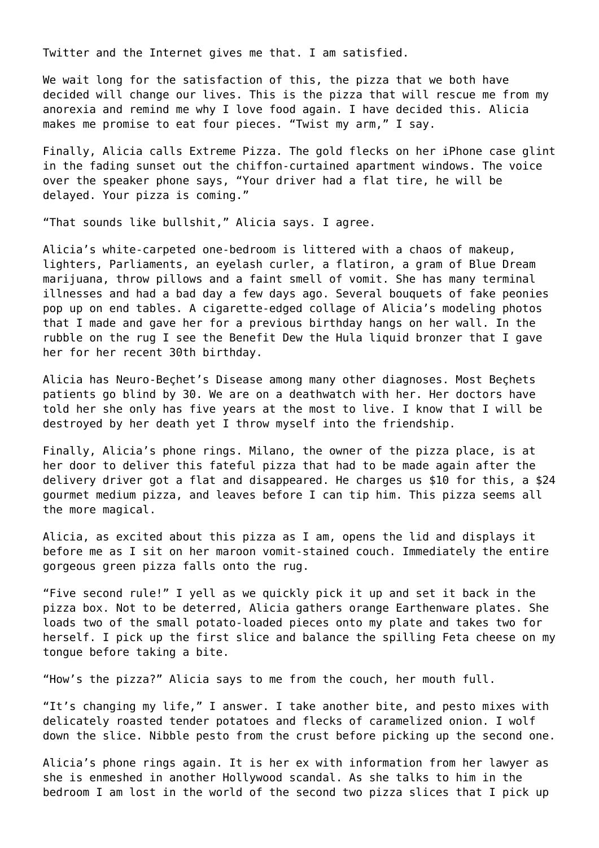Twitter and the Internet gives me that. I am satisfied.

We wait long for the satisfaction of this, the pizza that we both have decided will change our lives. This is the pizza that will rescue me from my anorexia and remind me why I love food again. I have decided this. Alicia makes me promise to eat four pieces. "Twist my arm," I say.

Finally, Alicia calls Extreme Pizza. The gold flecks on her iPhone case glint in the fading sunset out the chiffon-curtained apartment windows. The voice over the speaker phone says, "Your driver had a flat tire, he will be delayed. Your pizza is coming."

"That sounds like bullshit," Alicia says. I agree.

Alicia's white-carpeted one-bedroom is littered with a chaos of makeup, lighters, Parliaments, an eyelash curler, a flatiron, a gram of Blue Dream marijuana, throw pillows and a faint smell of vomit. She has many terminal illnesses and had a bad day a few days ago. Several bouquets of fake peonies pop up on end tables. A cigarette-edged collage of Alicia's modeling photos that I made and gave her for a previous birthday hangs on her wall. In the rubble on the rug I see the Benefit Dew the Hula liquid bronzer that I gave her for her recent 30th birthday.

Alicia has Neuro-Beçhet's Disease among many other diagnoses. Most Beçhets patients go blind by 30. We are on a deathwatch with her. Her doctors have told her she only has five years at the most to live. I know that I will be destroyed by her death yet I throw myself into the friendship.

Finally, Alicia's phone rings. Milano, the owner of the pizza place, is at her door to deliver this fateful pizza that had to be made again after the delivery driver got a flat and disappeared. He charges us \$10 for this, a \$24 gourmet medium pizza, and leaves before I can tip him. This pizza seems all the more magical.

Alicia, as excited about this pizza as I am, opens the lid and displays it before me as I sit on her maroon vomit-stained couch. Immediately the entire gorgeous green pizza falls onto the rug.

"Five second rule!" I yell as we quickly pick it up and set it back in the pizza box. Not to be deterred, Alicia gathers orange Earthenware plates. She loads two of the small potato-loaded pieces onto my plate and takes two for herself. I pick up the first slice and balance the spilling Feta cheese on my tongue before taking a bite.

"How's the pizza?" Alicia says to me from the couch, her mouth full.

"It's changing my life," I answer. I take another bite, and pesto mixes with delicately roasted tender potatoes and flecks of caramelized onion. I wolf down the slice. Nibble pesto from the crust before picking up the second one.

Alicia's phone rings again. It is her ex with information from her lawyer as she is enmeshed in another Hollywood scandal. As she talks to him in the bedroom I am lost in the world of the second two pizza slices that I pick up